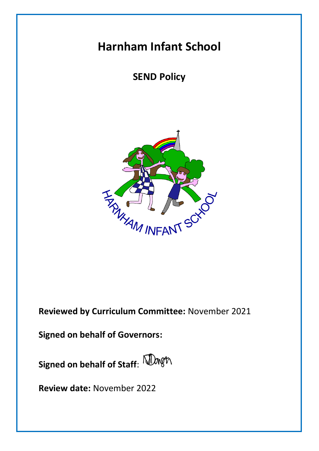# **Harnham Infant School**

## **SEND Policy**



**Reviewed by Curriculum Committee:** November 2021

**Signed on behalf of Governors:**

**Signed on behalf of Staff**:

**Review date:** November 2022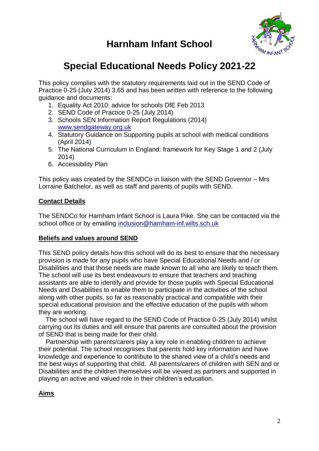



## **Special Educational Needs Policy 2021-22**

This policy complies with the statutory requirements laid out in the SEND Code of Practice 0-25 (July 2014) 3.65 and has been written with reference to the following guidance and documents:

- 1. Equality Act 2010: advice for schools DfE Feb 2013
- 2. SEND Code of Practice 0-25 (July 2014)
- 3. Schools SEN Information Report Regulations (2014) [www.sendgateway.org.uk](http://www.sendgateway.org.uk/)
- 4. Statutory Guidance on Supporting pupils at school with medical conditions (April 2014)
- 5. The National Curriculum in England: framework for Key Stage 1 and 2 (July 2014)
- 6. Accessibility Plan

This policy was created by the SENDCo in liaison with the SEND Governor – Mrs Lorraine Batchelor, as well as staff and parents of pupils with SEND.

### **Contact Details**

The SENDCo for Harnham Infant School is Laura Pike. She can be contacted via the school office or by emailing [inclusion@harnham-inf.wilts.sch.uk](mailto:inclusion@harnham-inf.wilts.sch.uk)

#### **Beliefs and values around SEND**

This SEND policy details how this school will do its best to ensure that the necessary provision is made for any pupils who have Special Educational Needs and / or Disabilities and that those needs are made known to all who are likely to teach them. The school will use its best endeavours to ensure that teachers and teaching assistants are able to identify and provide for those pupils with Special Educational Needs and Disabilities to enable them to participate in the activities of the school along with other pupils, so far as reasonably practical and compatible with their special educational provision and the effective education of the pupils with whom they are working.

 The school will have regard to the SEND Code of Practice 0-25 (July 2014) whilst carrying out its duties and will ensure that parents are consulted about the provision of SEND that is being made for their child.

 Partnership with parents/carers play a key role in enabling children to achieve their potential. The school recognises that parents hold key information and have knowledge and experience to contribute to the shared view of a child's needs and the best ways of supporting that child. All parents/carers of children with SEN and or Disabilities and the children themselves will be viewed as partners and supported in playing an active and valued role in their children's education.

## **Aims**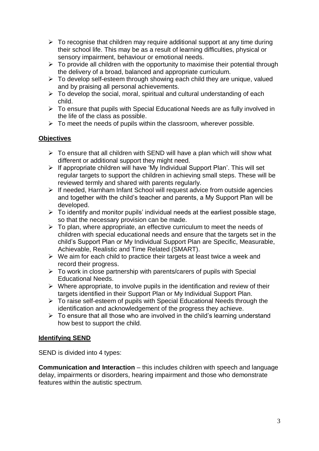- $\triangleright$  To recognise that children may require additional support at any time during their school life. This may be as a result of learning difficulties, physical or sensory impairment, behaviour or emotional needs.
- $\triangleright$  To provide all children with the opportunity to maximise their potential through the delivery of a broad, balanced and appropriate curriculum.
- $\triangleright$  To develop self-esteem through showing each child they are unique, valued and by praising all personal achievements.
- $\triangleright$  To develop the social, moral, spiritual and cultural understanding of each child.
- $\triangleright$  To ensure that pupils with Special Educational Needs are as fully involved in the life of the class as possible.
- $\triangleright$  To meet the needs of pupils within the classroom, wherever possible.

## **Objectives**

- $\triangleright$  To ensure that all children with SEND will have a plan which will show what different or additional support they might need.
- $\triangleright$  If appropriate children will have 'My Individual Support Plan'. This will set regular targets to support the children in achieving small steps. These will be reviewed termly and shared with parents regularly.
- $\triangleright$  If needed, Harnham Infant School will request advice from outside agencies and together with the child's teacher and parents, a My Support Plan will be developed.
- $\triangleright$  To identify and monitor pupils' individual needs at the earliest possible stage, so that the necessary provision can be made.
- $\triangleright$  To plan, where appropriate, an effective curriculum to meet the needs of children with special educational needs and ensure that the targets set in the child's Support Plan or My Individual Support Plan are Specific, Measurable, Achievable, Realistic and Time Related (SMART).
- $\triangleright$  We aim for each child to practice their targets at least twice a week and record their progress.
- $\triangleright$  To work in close partnership with parents/carers of pupils with Special Educational Needs.
- $\triangleright$  Where appropriate, to involve pupils in the identification and review of their targets identified in their Support Plan or My Individual Support Plan.
- $\triangleright$  To raise self-esteem of pupils with Special Educational Needs through the identification and acknowledgement of the progress they achieve.
- $\triangleright$  To ensure that all those who are involved in the child's learning understand how best to support the child.

#### **Identifying SEND**

SEND is divided into 4 types:

**Communication and Interaction** – this includes children with speech and language delay, impairments or disorders, hearing impairment and those who demonstrate features within the autistic spectrum.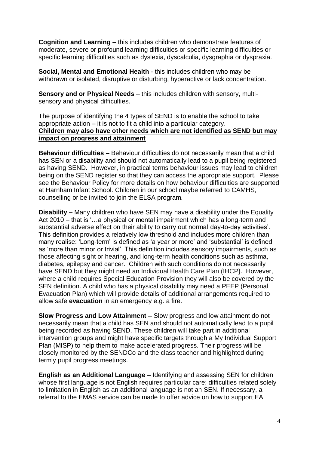**Cognition and Learning –** this includes children who demonstrate features of moderate, severe or profound learning difficulties or specific learning difficulties or specific learning difficulties such as dyslexia, dyscalculia, dysgraphia or dyspraxia.

**Social, Mental and Emotional Health** - this includes children who may be withdrawn or isolated, disruptive or disturbing, hyperactive or lack concentration.

**Sensory and or Physical Needs** – this includes children with sensory, multisensory and physical difficulties.

The purpose of identifying the 4 types of SEND is to enable the school to take appropriate action – it is not to fit a child into a particular category. **Children may also have other needs which are not identified as SEND but may impact on progress and attainment**

**Behaviour difficulties –** Behaviour difficulties do not necessarily mean that a child has SEN or a disability and should not automatically lead to a pupil being registered as having SEND. However, in practical terms behaviour issues may lead to children being on the SEND register so that they can access the appropriate support. Please see the Behaviour Policy for more details on how behaviour difficulties are supported at Harnham Infant School. Children in our school maybe referred to CAMHS, counselling or be invited to join the ELSA program.

**Disability –** Many children who have SEN may have a disability under the Equality Act 2010 – that is '…a physical or mental impairment which has a long-term and substantial adverse effect on their ability to carry out normal day-to-day activities'. This definition provides a relatively low threshold and includes more children than many realise: 'Long-term' is defined as 'a year or more' and 'substantial' is defined as 'more than minor or trivial'. This definition includes sensory impairments, such as those affecting sight or hearing, and long-term health conditions such as asthma, diabetes, epilepsy and cancer. Children with such conditions do not necessarily have SEND but they might need an Individual Health Care Plan (IHCP**)**. However, where a child requires Special Education Provision they will also be covered by the SEN definition. A child who has a physical disability may need a PEEP (Personal Evacuation Plan) which will provide details of additional arrangements required to allow safe **evacuation** in an emergency e.g. a fire.

**Slow Progress and Low Attainment –** Slow progress and low attainment do not necessarily mean that a child has SEN and should not automatically lead to a pupil being recorded as having SEND. These children will take part in additional intervention groups and might have specific targets through a My Individual Support Plan (MISP) to help them to make accelerated progress. Their progress will be closely monitored by the SENDCo and the class teacher and highlighted during termly pupil progress meetings.

**English as an Additional Language –** Identifying and assessing SEN for children whose first language is not English requires particular care; difficulties related solely to limitation in English as an additional language is not an SEN. If necessary, a referral to the EMAS service can be made to offer advice on how to support EAL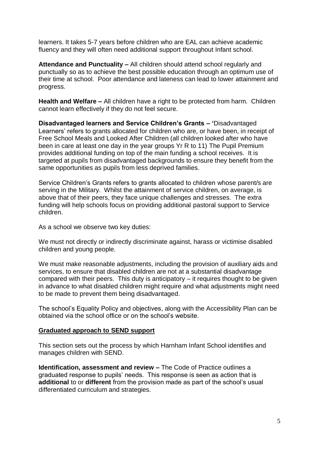learners. It takes 5-7 years before children who are EAL can achieve academic fluency and they will often need additional support throughout Infant school.

**Attendance and Punctuality –** All children should attend school regularly and punctually so as to achieve the best possible education through an optimum use of their time at school. Poor attendance and lateness can lead to lower attainment and progress.

**Health and Welfare –** All children have a right to be protected from harm. Children cannot learn effectively if they do not feel secure.

**Disadvantaged learners and Service Children's Grants – '**Disadvantaged Learners' refers to grants allocated for children who are, or have been, in receipt of Free School Meals and Looked After Children (all children looked after who have been in care at least one day in the year groups Yr R to 11) The Pupil Premium provides additional funding on top of the main funding a school receives. It is targeted at pupils from disadvantaged backgrounds to ensure they benefit from the same opportunities as pupils from less deprived families.

Service Children's Grants refers to grants allocated to children whose parent/s are serving in the Military. Whilst the attainment of service children, on average, is above that of their peers, they face unique challenges and stresses. The extra funding will help schools focus on providing additional pastoral support to Service children.

As a school we observe two key duties:

We must not directly or indirectly discriminate against, harass or victimise disabled children and young people.

We must make reasonable adjustments, including the provision of auxiliary aids and services, to ensure that disabled children are not at a substantial disadvantage compared with their peers. This duty is anticipatory – it requires thought to be given in advance to what disabled children might require and what adjustments might need to be made to prevent them being disadvantaged.

The school's Equality Policy and objectives, along with the Accessibility Plan can be obtained via the school office or on the school's website.

#### **Graduated approach to SEND support**

This section sets out the process by which Harnham Infant School identifies and manages children with SEND.

**Identification, assessment and review –** The Code of Practice outlines a graduated response to pupils' needs. This response is seen as action that is **additional** to or **different** from the provision made as part of the school's usual differentiated curriculum and strategies.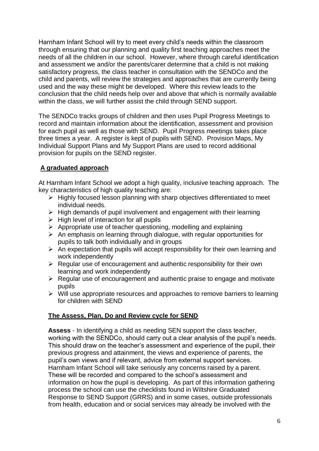Harnham Infant School will try to meet every child's needs within the classroom through ensuring that our planning and quality first teaching approaches meet the needs of all the children in our school. However, where through careful identification and assessment we and/or the parents/carer determine that a child is not making satisfactory progress, the class teacher in consultation with the SENDCo and the child and parents, will review the strategies and approaches that are currently being used and the way these might be developed. Where this review leads to the conclusion that the child needs help over and above that which is normally available within the class, we will further assist the child through SEND support.

The SENDCo tracks groups of children and then uses Pupil Progress Meetings to record and maintain information about the identification, assessment and provision for each pupil as well as those with SEND. Pupil Progress meetings takes place three times a year. A register is kept of pupils with SEND. Provision Maps, My Individual Support Plans and My Support Plans are used to record additional provision for pupils on the SEND register.

## **A graduated approach**

At Harnham Infant School we adopt a high quality, inclusive teaching approach. The key characteristics of high quality teaching are:

- $\triangleright$  Highly focused lesson planning with sharp objectives differentiated to meet individual needs.
- $\triangleright$  High demands of pupil involvement and engagement with their learning
- $\triangleright$  High level of interaction for all pupils
- $\triangleright$  Appropriate use of teacher questioning, modelling and explaining
- $\triangleright$  An emphasis on learning through dialogue, with regular opportunities for pupils to talk both individually and in groups
- $\triangleright$  An expectation that pupils will accept responsibility for their own learning and work independently
- $\triangleright$  Regular use of encouragement and authentic responsibility for their own learning and work independently
- $\triangleright$  Regular use of encouragement and authentic praise to engage and motivate pupils
- $\triangleright$  Will use appropriate resources and approaches to remove barriers to learning for children with SEND

## **The Assess, Plan, Do and Review cycle for SEND**

**Assess** - In identifying a child as needing SEN support the class teacher, working with the SENDCo, should carry out a clear analysis of the pupil's needs. This should draw on the teacher's assessment and experience of the pupil, their previous progress and attainment, the views and experience of parents, the pupil's own views and if relevant, advice from external support services. Harnham Infant School will take seriously any concerns raised by a parent. These will be recorded and compared to the school's assessment and information on how the pupil is developing. As part of this information gathering process the school can use the checklists found in Wiltshire Graduated Response to SEND Support (GRRS) and in some cases, outside professionals from health, education and or social services may already be involved with the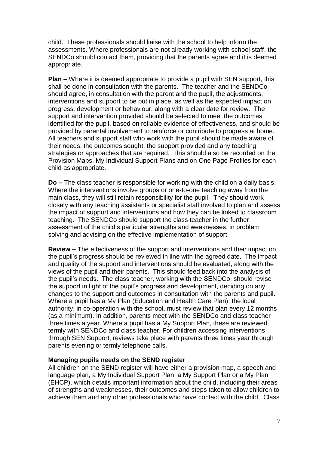child. These professionals should liaise with the school to help inform the assessments. Where professionals are not already working with school staff, the SENDCo should contact them, providing that the parents agree and it is deemed appropriate.

**Plan –** Where it is deemed appropriate to provide a pupil with SEN support, this shall be done in consultation with the parents. The teacher and the SENDCo should agree, in consultation with the parent and the pupil, the adjustments, interventions and support to be put in place, as well as the expected impact on progress, development or behaviour, along with a clear date for review. The support and intervention provided should be selected to meet the outcomes identified for the pupil, based on reliable evidence of effectiveness, and should be provided by parental involvement to reinforce or contribute to progress at home. All teachers and support staff who work with the pupil should be made aware of their needs, the outcomes sought, the support provided and any teaching strategies or approaches that are required. This should also be recorded on the Provision Maps, My Individual Support Plans and on One Page Profiles for each child as appropriate.

**Do –** The class teacher is responsible for working with the child on a daily basis. Where the interventions involve groups or one-to-one teaching away from the main class, they will still retain responsibility for the pupil. They should work closely with any teaching assistants or specialist staff involved to plan and assess the impact of support and interventions and how they can be linked to classroom teaching. The SENDCo should support the class teacher in the further assessment of the child's particular strengths and weaknesses, in problem solving and advising on the effective implementation of support.

**Review –** The effectiveness of the support and interventions and their impact on the pupil's progress should be reviewed in line with the agreed date. The impact and quality of the support and interventions should be evaluated, along with the views of the pupil and their parents. This should feed back into the analysis of the pupil's needs. The class teacher, working with the SENDCo, should revise the support in light of the pupil's progress and development, deciding on any changes to the support and outcomes in consultation with the parents and pupil. Where a pupil has a My Plan (Education and Health Care Plan), the local authority, in co-operation with the school, must review that plan every 12 months (as a minimum). In addition, parents meet with the SENDCo and class teacher three times a year. Where a pupil has a My Support Plan, these are reviewed termly with SENDCo and class teacher. For children accessing interventions through SEN Support, reviews take place with parents three times year through parents evening or termly telephone calls.

#### **Managing pupils needs on the SEND register**

All children on the SEND register will have either a provision map, a speech and language plan, a My Individual Support Plan, a My Support Plan or a My Plan (EHCP), which details important information about the child, including their areas of strengths and weaknesses, their outcomes and steps taken to allow children to achieve them and any other professionals who have contact with the child. Class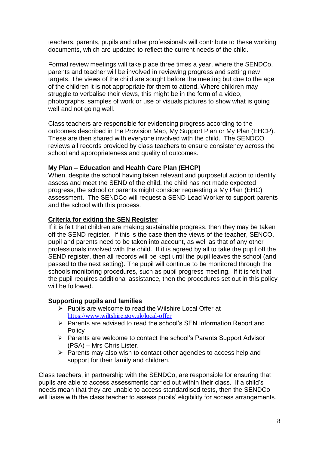teachers, parents, pupils and other professionals will contribute to these working documents, which are updated to reflect the current needs of the child.

Formal review meetings will take place three times a year, where the SENDCo, parents and teacher will be involved in reviewing progress and setting new targets. The views of the child are sought before the meeting but due to the age of the children it is not appropriate for them to attend. Where children may struggle to verbalise their views, this might be in the form of a video, photographs, samples of work or use of visuals pictures to show what is going well and not going well.

Class teachers are responsible for evidencing progress according to the outcomes described in the Provision Map, My Support Plan or My Plan (EHCP). These are then shared with everyone involved with the child. The SENDCO reviews all records provided by class teachers to ensure consistency across the school and appropriateness and quality of outcomes.

## **My Plan – Education and Health Care Plan (EHCP)**

When, despite the school having taken relevant and purposeful action to identify assess and meet the SEND of the child, the child has not made expected progress, the school or parents might consider requesting a My Plan (EHC) assessment. The SENDCo will request a SEND Lead Worker to support parents and the school with this process.

#### **Criteria for exiting the SEN Register**

If it is felt that children are making sustainable progress, then they may be taken off the SEND register. If this is the case then the views of the teacher, SENCO, pupil and parents need to be taken into account, as well as that of any other professionals involved with the child. If it is agreed by all to take the pupil off the SEND register, then all records will be kept until the pupil leaves the school (and passed to the next setting). The pupil will continue to be monitored through the schools monitoring procedures, such as pupil progress meeting. If it is felt that the pupil requires additional assistance, then the procedures set out in this policy will be followed.

#### **Supporting pupils and families**

- $\triangleright$  Pupils are welcome to read the Wilshire Local Offer at <https://www.wiltshire.gov.uk/local-offer>
- $\triangleright$  Parents are advised to read the school's SEN Information Report and **Policy**
- $\triangleright$  Parents are welcome to contact the school's Parents Support Advisor (PSA) – Mrs Chris Lister.
- $\triangleright$  Parents may also wish to contact other agencies to access help and support for their family and children.

Class teachers, in partnership with the SENDCo, are responsible for ensuring that pupils are able to access assessments carried out within their class. If a child's needs mean that they are unable to access standardised tests, then the SENDCo will liaise with the class teacher to assess pupils' eligibility for access arrangements.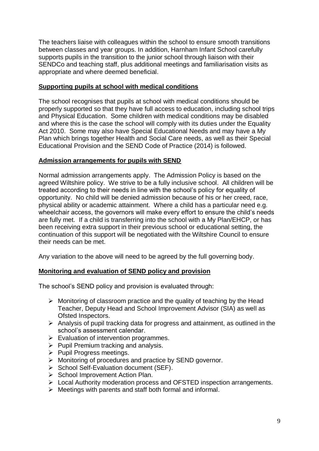The teachers liaise with colleagues within the school to ensure smooth transitions between classes and year groups. In addition, Harnham Infant School carefully supports pupils in the transition to the junior school through liaison with their SENDCo and teaching staff, plus additional meetings and familiarisation visits as appropriate and where deemed beneficial.

### **Supporting pupils at school with medical conditions**

The school recognises that pupils at school with medical conditions should be properly supported so that they have full access to education, including school trips and Physical Education. Some children with medical conditions may be disabled and where this is the case the school will comply with its duties under the Equality Act 2010. Some may also have Special Educational Needs and may have a My Plan which brings together Health and Social Care needs, as well as their Special Educational Provision and the SEND Code of Practice (2014) is followed.

#### **Admission arrangements for pupils with SEND**

Normal admission arrangements apply. The Admission Policy is based on the agreed Wiltshire policy. We strive to be a fully inclusive school. All children will be treated according to their needs in line with the school's policy for equality of opportunity. No child will be denied admission because of his or her creed, race, physical ability or academic attainment. Where a child has a particular need e.g. wheelchair access, the governors will make every effort to ensure the child's needs are fully met. If a child is transferring into the school with a My Plan/EHCP, or has been receiving extra support in their previous school or educational setting, the continuation of this support will be negotiated with the Wiltshire Council to ensure their needs can be met.

Any variation to the above will need to be agreed by the full governing body.

## **Monitoring and evaluation of SEND policy and provision**

The school's SEND policy and provision is evaluated through:

- $\triangleright$  Monitoring of classroom practice and the quality of teaching by the Head Teacher, Deputy Head and School Improvement Advisor (SIA) as well as Ofsted Inspectors.
- $\triangleright$  Analysis of pupil tracking data for progress and attainment, as outlined in the school's assessment calendar.
- $\triangleright$  Evaluation of intervention programmes.
- $\triangleright$  Pupil Premium tracking and analysis.
- $\triangleright$  Pupil Progress meetings.
- > Monitoring of procedures and practice by SEND governor.
- $\triangleright$  School Self-Evaluation document (SEF).
- $\triangleright$  School Improvement Action Plan.
- Local Authority moderation process and OFSTED inspection arrangements.
- $\triangleright$  Meetings with parents and staff both formal and informal.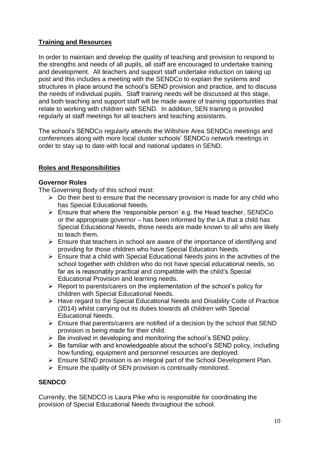## **Training and Resources**

In order to maintain and develop the quality of teaching and provision to respond to the strengths and needs of all pupils, all staff are encouraged to undertake training and development. All teachers and support staff undertake induction on taking up post and this includes a meeting with the SENDCo to explain the systems and structures in place around the school's SEND provision and practice, and to discuss the needs of individual pupils. Staff training needs will be discussed at this stage, and both teaching and support staff will be made aware of training opportunities that relate to working with children with SEND. In addition, SEN training is provided regularly at staff meetings for all teachers and teaching assistants.

The school's SENDCo regularly attends the Wiltshire Area SENDCo meetings and conferences along with more local cluster schools' SENDCo network meetings in order to stay up to date with local and national updates in SEND.

## **Roles and Responsibilities**

### **Governor Roles**

The Governing Body of this school must:

- $\triangleright$  Do their best to ensure that the necessary provision is made for any child who has Special Educational Needs.
- $\triangleright$  Ensure that where the 'responsible person' e.g. the Head teacher, SENDCo or the appropriate governor – has been informed by the LA that a child has Special Educational Needs, those needs are made known to all who are likely to teach them.
- $\triangleright$  Ensure that teachers in school are aware of the importance of identifying and providing for those children who have Special Education Needs.
- $\triangleright$  Ensure that a child with Special Educational Needs joins in the activities of the school together with children who do not have special educational needs, so far as is reasonably practical and compatible with the child's Special Educational Provision and learning needs.
- $\triangleright$  Report to parents/carers on the implementation of the school's policy for children with Special Educational Needs.
- $\triangleright$  Have regard to the Special Educational Needs and Disability Code of Practice (2014) whilst carrying out its duties towards all children with Special Educational Needs.
- $\triangleright$  Ensure that parents/carers are notified of a decision by the school that SEND provision is being made for their child.
- $\triangleright$  Be involved in developing and monitoring the school's SEND policy.
- $\triangleright$  Be familiar with and knowledgeable about the school's SEND policy, including how funding, equipment and personnel resources are deployed.
- Ensure SEND provision is an integral part of the School Development Plan.
- $\triangleright$  Ensure the quality of SEN provision is continually monitored.

## **SENDCO**

Currently, the SENDCO is Laura Pike who is responsible for coordinating the provision of Special Educational Needs throughout the school.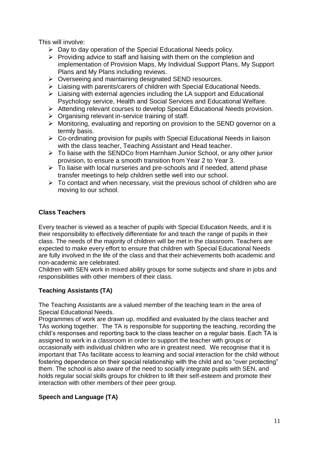This will involve:

- $\triangleright$  Day to day operation of the Special Educational Needs policy.
- $\triangleright$  Providing advice to staff and liaising with them on the completion and implementation of Provision Maps, My Individual Support Plans, My Support Plans and My Plans including reviews.
- ▶ Overseeing and maintaining designated SEND resources.
- Liaising with parents/carers of children with Special Educational Needs.
- $\triangleright$  Liaising with external agencies including the LA support and Educational Psychology service, Health and Social Services and Educational Welfare.
- Attending relevant courses to develop Special Educational Needs provision.
- $\triangleright$  Organising relevant in-service training of staff.
- Monitoring, evaluating and reporting on provision to the SEND governor on a termly basis.
- $\triangleright$  Co-ordinating provision for pupils with Special Educational Needs in liaison with the class teacher, Teaching Assistant and Head teacher.
- To liaise with the SENDCo from Harnham Junior School, or any other junior provision, to ensure a smooth transition from Year 2 to Year 3.
- $\triangleright$  To liaise with local nurseries and pre-schools and if needed, attend phase transfer meetings to help children settle well into our school.
- $\triangleright$  To contact and when necessary, visit the previous school of children who are moving to our school.

## **Class Teachers**

Every teacher is viewed as a teacher of pupils with Special Education Needs, and it is their responsibility to effectively differentiate for and teach the range of pupils in their class. The needs of the majority of children will be met in the classroom. Teachers are expected to make every effort to ensure that children with Special Educational Needs are fully involved in the life of the class and that their achievements both academic and non-academic are celebrated.

Children with SEN work in mixed ability groups for some subjects and share in jobs and responsibilities with other members of their class.

## **Teaching Assistants (TA)**

The Teaching Assistants are a valued member of the teaching team in the area of Special Educational Needs.

Programmes of work are drawn up, modified and evaluated by the class teacher and TAs working together. The TA is responsible for supporting the teaching, recording the child's responses and reporting back to the class teacher on a regular basis. Each TA is assigned to work in a classroom in order to support the teacher with groups or occasionally with individual children who are in greatest need. We recognise that it is important that TAs facilitate access to learning and social interaction for the child without fostering dependence on their special relationship with the child and so "over protecting" them. The school is also aware of the need to socially integrate pupils with SEN, and holds regular social skills groups for children to lift their self-esteem and promote their interaction with other members of their peer group.

## **Speech and Language (TA)**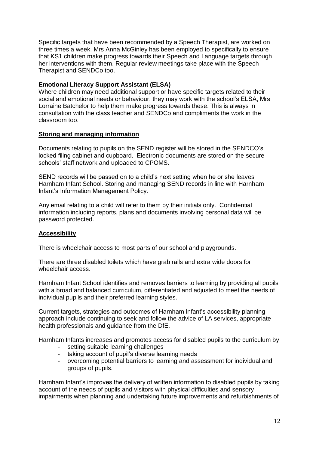Specific targets that have been recommended by a Speech Therapist, are worked on three times a week. Mrs Anna McGinley has been employed to specifically to ensure that KS1 children make progress towards their Speech and Language targets through her interventions with them. Regular review meetings take place with the Speech Therapist and SENDCo too.

### **Emotional Literacy Support Assistant (ELSA)**

Where children may need additional support or have specific targets related to their social and emotional needs or behaviour, they may work with the school's ELSA, Mrs Lorraine Batchelor to help them make progress towards these. This is always in consultation with the class teacher and SENDCo and compliments the work in the classroom too.

#### **Storing and managing information**

Documents relating to pupils on the SEND register will be stored in the SENDCO's locked filing cabinet and cupboard. Electronic documents are stored on the secure schools' staff network and uploaded to CPOMS.

SEND records will be passed on to a child's next setting when he or she leaves Harnham Infant School. Storing and managing SEND records in line with Harnham Infant's Information Management Policy.

Any email relating to a child will refer to them by their initials only. Confidential information including reports, plans and documents involving personal data will be password protected.

#### **Accessibility**

There is wheelchair access to most parts of our school and playgrounds.

There are three disabled toilets which have grab rails and extra wide doors for wheelchair access.

Harnham Infant School identifies and removes barriers to learning by providing all pupils with a broad and balanced curriculum, differentiated and adjusted to meet the needs of individual pupils and their preferred learning styles.

Current targets, strategies and outcomes of Harnham Infant's accessibility planning approach include continuing to seek and follow the advice of LA services, appropriate health professionals and guidance from the DfE.

Harnham Infants increases and promotes access for disabled pupils to the curriculum by

- setting suitable learning challenges
- taking account of pupil's diverse learning needs
- overcoming potential barriers to learning and assessment for individual and groups of pupils.

Harnham Infant's improves the delivery of written information to disabled pupils by taking account of the needs of pupils and visitors with physical difficulties and sensory impairments when planning and undertaking future improvements and refurbishments of